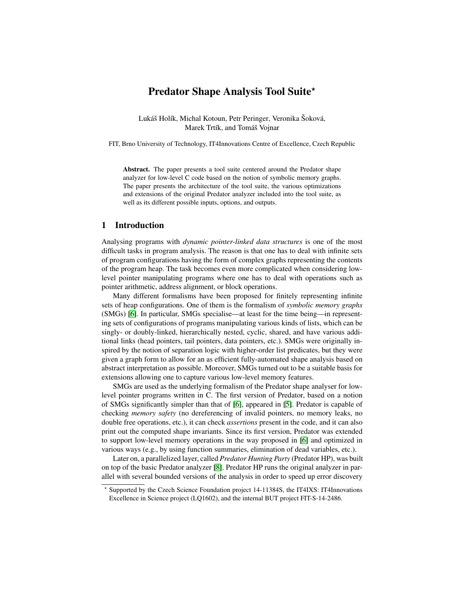# Predator Shape Analysis Tool Suite\*

Lukáš Holík, Michal Kotoun, Petr Peringer, Veronika Šoková, Marek Trtík, and Tomáš Vojnar

FIT, Brno University of Technology, IT4Innovations Centre of Excellence, Czech Republic

Abstract. The paper presents a tool suite centered around the Predator shape analyzer for low-level C code based on the notion of symbolic memory graphs. The paper presents the architecture of the tool suite, the various optimizations and extensions of the original Predator analyzer included into the tool suite, as well as its different possible inputs, options, and outputs.

### 1 Introduction

Analysing programs with *dynamic pointer-linked data structures* is one of the most difficult tasks in program analysis. The reason is that one has to deal with infinite sets of program configurations having the form of complex graphs representing the contents of the program heap. The task becomes even more complicated when considering lowlevel pointer manipulating programs where one has to deal with operations such as pointer arithmetic, address alignment, or block operations.

Many different formalisms have been proposed for finitely representing infinite sets of heap configurations. One of them is the formalism of *symbolic memory graphs* (SMGs) [\[6\]](#page-6-0). In particular, SMGs specialise—at least for the time being—in representing sets of configurations of programs manipulating various kinds of lists, which can be singly- or doubly-linked, hierarchically nested, cyclic, shared, and have various additional links (head pointers, tail pointers, data pointers, etc.). SMGs were originally inspired by the notion of separation logic with higher-order list predicates, but they were given a graph form to allow for an as efficient fully-automated shape analysis based on abstract interpretation as possible. Moreover, SMGs turned out to be a suitable basis for extensions allowing one to capture various low-level memory features.

SMGs are used as the underlying formalism of the Predator shape analyser for lowlevel pointer programs written in C. The first version of Predator, based on a notion of SMGs significantly simpler than that of [\[6\]](#page-6-0), appeared in [\[5\]](#page-6-1). Predator is capable of checking *memory safety* (no dereferencing of invalid pointers, no memory leaks, no double free operations, etc.), it can check *assertions* present in the code, and it can also print out the computed shape invariants. Since its first version, Predator was extended to support low-level memory operations in the way proposed in [\[6\]](#page-6-0) and optimized in various ways (e.g., by using function summaries, elimination of dead variables, etc.).

Later on, a parallelized layer, called *Predator Hunting Party* (Predator HP), was built on top of the basic Predator analyzer [\[8\]](#page-6-2). Predator HP runs the original analyzer in parallel with several bounded versions of the analysis in order to speed up error discovery

<sup>?</sup> Supported by the Czech Science Foundation project 14-11384S, the IT4IXS: IT4Innovations Excellence in Science project (LQ1602), and the internal BUT project FIT-S-14-2486.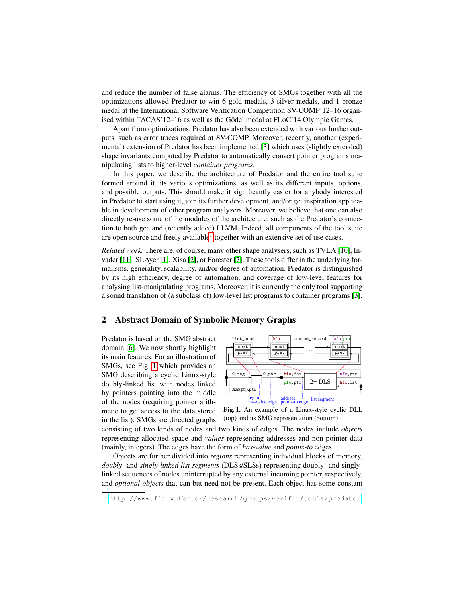and reduce the number of false alarms. The efficiency of SMGs together with all the optimizations allowed Predator to win 6 gold medals, 3 silver medals, and 1 bronze medal at the International Software Verification Competition SV-COMP'12–16 organised within TACAS'12–16 as well as the Gödel medal at FLoC'14 Olympic Games.

Apart from optimizations, Predator has also been extended with various further outputs, such as error traces required at SV-COMP. Moreover, recently, another (experimental) extension of Predator has been implemented [\[3\]](#page-6-3) which uses (slightly extended) shape invariants computed by Predator to automatically convert pointer programs manipulating lists to higher-level *container programs*.

In this paper, we describe the architecture of Predator and the entire tool suite formed around it, its various optimizations, as well as its different inputs, options, and possible outputs. This should make it significantly easier for anybody interested in Predator to start using it, join its further development, and/or get inspiration applicable in development of other program analyzers. Moreover, we believe that one can also directly re-use some of the modules of the architecture, such as the Predator's connection to both gcc and (recently added) LLVM. Indeed, all components of the tool suite are open source and freely available<sup>[1](#page-1-0)</sup> together with an extensive set of use cases.

*Related work.* There are, of course, many other shape analysers, such as TVLA [\[10\]](#page-6-4), Invader [\[11\]](#page-6-5), SLAyer [\[1\]](#page-6-6), Xisa [\[2\]](#page-6-7), or Forester [\[7\]](#page-6-8). These tools differ in the underlying formalisms, generality, scalability, and/or degree of automation. Predator is distinguished by its high efficiency, degree of automation, and coverage of low-level features for analysing list-manipulating programs. Moreover, it is currently the only tool supporting a sound translation of (a subclass of) low-level list programs to container programs [\[3\]](#page-6-3).

## 2 Abstract Domain of Symbolic Memory Graphs

Predator is based on the SMG abstract domain [\[6\]](#page-6-0). We now shortly highlight its main features. For an illustration of SMGs, see Fig. [1](#page-1-1) which provides an SMG describing a cyclic Linux-style doubly-linked list with nodes linked by pointers pointing into the middle of the nodes (requiring pointer arithmetic to get access to the data stored in the list). SMGs are directed graphs



<span id="page-1-1"></span>Fig. 1. An example of a Linux-style cyclic DLL (top) and its SMG representation (bottom)

consisting of two kinds of nodes and two kinds of edges. The nodes include *objects* representing allocated space and *values* representing addresses and non-pointer data (mainly, integers). The edges have the form of *has-value* and *points-to* edges.

Objects are further divided into *regions* representing individual blocks of memory, *doubly-* and *singly-linked list segments* (DLSs/SLSs) representing doubly- and singlylinked sequences of nodes uninterrupted by any external incoming pointer, respectively, and *optional objects* that can but need not be present. Each object has some constant

<span id="page-1-0"></span><sup>1</sup> <http://www.fit.vutbr.cz/research/groups/verifit/tools/predator>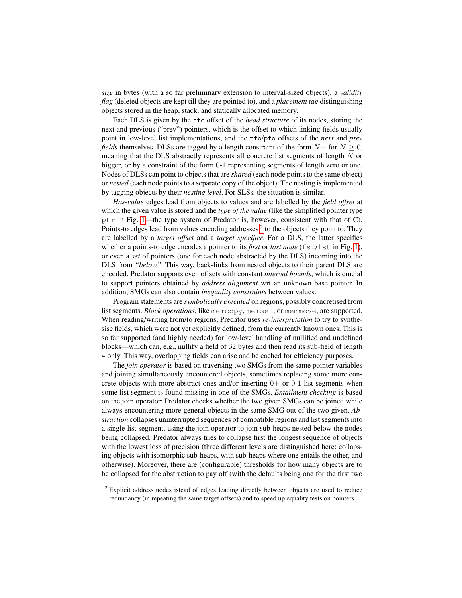*size* in bytes (with a so far preliminary extension to interval-sized objects), a *validity flag* (deleted objects are kept till they are pointed to), and a *placement tag* distinguishing objects stored in the heap, stack, and statically allocated memory.

Each DLS is given by the hfo offset of the *head structure* of its nodes, storing the next and previous ("prev") pointers, which is the offset to which linking fields usually point in low-level list implementations, and the nfo/pfo offsets of the *next* and *prev fields* themselves. DLSs are tagged by a length constraint of the form  $N+$  for  $N>0$ , meaning that the DLS abstractly represents all concrete list segments of length N or bigger, or by a constraint of the form 0-1 representing segments of length zero or one. Nodes of DLSs can point to objects that are *shared* (each node points to the same object) or *nested* (each node points to a separate copy of the object). The nesting is implemented by tagging objects by their *nesting level*. For SLSs, the situation is similar.

*Has-value* edges lead from objects to values and are labelled by the *field offset* at which the given value is stored and the *type of the value* (like the simplified pointer type ptr in Fig. [1—](#page-1-1)the type system of Predator is, however, consistent with that of C). Points-to edges lead from values encoding addresses  $2$  to the objects they point to. They are labelled by a *target offset* and a *target specifier*. For a DLS, the latter specifies whether a points-to edge encodes a pointer to its *first* or *last node* (fst/lst in Fig. [1\)](#page-1-1), or even a *set* of pointers (one for each node abstracted by the DLS) incoming into the DLS from *"below"*. This way, back-links from nested objects to their parent DLS are encoded. Predator supports even offsets with constant *interval bounds*, which is crucial to support pointers obtained by *address alignment* wrt an unknown base pointer. In addition, SMGs can also contain *inequality constraints* between values.

Program statements are *symbolically executed* on regions, possibly concretised from list segments. *Block operations*, like memcopy, memset, or memmove, are supported. When reading/writing from/to regions, Predator uses *re-interpretation* to try to synthesise fields, which were not yet explicitly defined, from the currently known ones. This is so far supported (and highly needed) for low-level handling of nullified and undefined blocks—which can, e.g., nullify a field of 32 bytes and then read its sub-field of length 4 only. This way, overlapping fields can arise and be cached for efficiency purposes.

The *join operator* is based on traversing two SMGs from the same pointer variables and joining simultaneously encountered objects, sometimes replacing some more concrete objects with more abstract ones and/or inserting  $0+$  or  $0-1$  list segments when some list segment is found missing in one of the SMGs. *Entailment checking* is based on the join operator: Predator checks whether the two given SMGs can be joined while always encountering more general objects in the same SMG out of the two given. *Abstraction* collapses uninterrupted sequences of compatible regions and list segments into a single list segment, using the join operator to join sub-heaps nested below the nodes being collapsed. Predator always tries to collapse first the longest sequence of objects with the lowest loss of precision (three different levels are distinguished here: collapsing objects with isomorphic sub-heaps, with sub-heaps where one entails the other, and otherwise). Moreover, there are (configurable) thresholds for how many objects are to be collapsed for the abstraction to pay off (with the defaults being one for the first two

<span id="page-2-0"></span><sup>&</sup>lt;sup>2</sup> Explicit address nodes istead of edges leading directly between objects are used to reduce redundancy (in repeating the same target offsets) and to speed up equality tests on pointers.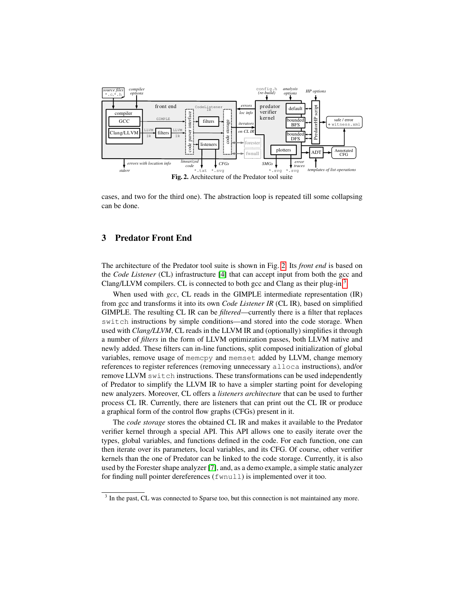

<span id="page-3-0"></span>cases, and two for the third one). The abstraction loop is repeated till some collapsing can be done.

## 3 Predator Front End

The architecture of the Predator tool suite is shown in Fig. [2.](#page-3-0) Its *front end* is based on the *Code Listener* (CL) infrastructure [\[4\]](#page-6-9) that can accept input from both the gcc and Clang/LLVM compilers. CL is connected to both gcc and Clang as their plug-in.<sup>[3](#page-3-1)</sup>

When used with *gcc*, CL reads in the GIMPLE intermediate representation (IR) from gcc and transforms it into its own *Code Listener IR* (CL IR), based on simplified GIMPLE. The resulting CL IR can be *filtered*—currently there is a filter that replaces switch instructions by simple conditions—and stored into the code storage. When used with *Clang/LLVM*, CL reads in the LLVM IR and (optionally) simplifies it through a number of *filters* in the form of LLVM optimization passes, both LLVM native and newly added. These filters can in-line functions, split composed initialization of global variables, remove usage of memcpy and memset added by LLVM, change memory references to register references (removing unnecessary alloca instructions), and/or remove LLVM switch instructions. These transformations can be used independently of Predator to simplify the LLVM IR to have a simpler starting point for developing new analyzers. Moreover, CL offers a *listeners architecture* that can be used to further process CL IR. Currently, there are listeners that can print out the CL IR or produce a graphical form of the control flow graphs (CFGs) present in it.

The *code storage* stores the obtained CL IR and makes it available to the Predator verifier kernel through a special API. This API allows one to easily iterate over the types, global variables, and functions defined in the code. For each function, one can then iterate over its parameters, local variables, and its CFG. Of course, other verifier kernels than the one of Predator can be linked to the code storage. Currently, it is also used by the Forester shape analyzer [\[7\]](#page-6-8), and, as a demo example, a simple static analyzer for finding null pointer dereferences (fwnull) is implemented over it too.

<span id="page-3-1"></span><sup>&</sup>lt;sup>3</sup> In the past, CL was connected to Sparse too, but this connection is not maintained any more.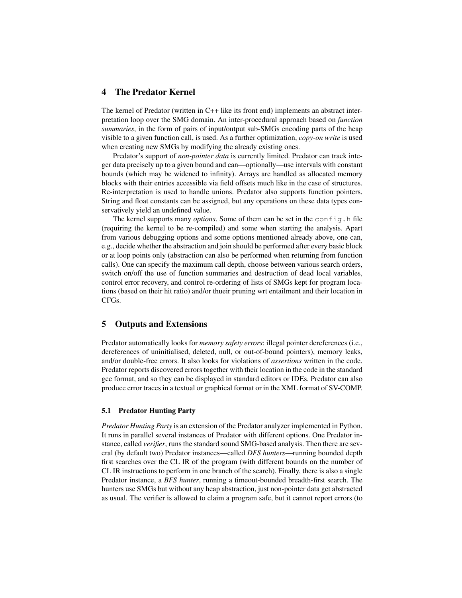## 4 The Predator Kernel

The kernel of Predator (written in C++ like its front end) implements an abstract interpretation loop over the SMG domain. An inter-procedural approach based on *function summaries*, in the form of pairs of input/output sub-SMGs encoding parts of the heap visible to a given function call, is used. As a further optimization, *copy-on write* is used when creating new SMGs by modifying the already existing ones.

Predator's support of *non-pointer data* is currently limited. Predator can track integer data precisely up to a given bound and can—optionally—use intervals with constant bounds (which may be widened to infinity). Arrays are handled as allocated memory blocks with their entries accessible via field offsets much like in the case of structures. Re-interpretation is used to handle unions. Predator also supports function pointers. String and float constants can be assigned, but any operations on these data types conservatively yield an undefined value.

The kernel supports many *options*. Some of them can be set in the config.h file (requiring the kernel to be re-compiled) and some when starting the analysis. Apart from various debugging options and some options mentioned already above, one can, e.g., decide whether the abstraction and join should be performed after every basic block or at loop points only (abstraction can also be performed when returning from function calls). One can specify the maximum call depth, choose between various search orders, switch on/off the use of function summaries and destruction of dead local variables, control error recovery, and control re-ordering of lists of SMGs kept for program locations (based on their hit ratio) and/or thueir pruning wrt entailment and their location in CFGs.

## 5 Outputs and Extensions

Predator automatically looks for *memory safety errors*: illegal pointer dereferences (i.e., dereferences of uninitialised, deleted, null, or out-of-bound pointers), memory leaks, and/or double-free errors. It also looks for violations of *assertions* written in the code. Predator reports discovered errors together with their location in the code in the standard gcc format, and so they can be displayed in standard editors or IDEs. Predator can also produce error traces in a textual or graphical format or in the XML format of SV-COMP.

#### 5.1 Predator Hunting Party

*Predator Hunting Party* is an extension of the Predator analyzer implemented in Python. It runs in parallel several instances of Predator with different options. One Predator instance, called *verifier*, runs the standard sound SMG-based analysis. Then there are several (by default two) Predator instances—called *DFS hunters*—running bounded depth first searches over the CL IR of the program (with different bounds on the number of CL IR instructions to perform in one branch of the search). Finally, there is also a single Predator instance, a *BFS hunter*, running a timeout-bounded breadth-first search. The hunters use SMGs but without any heap abstraction, just non-pointer data get abstracted as usual. The verifier is allowed to claim a program safe, but it cannot report errors (to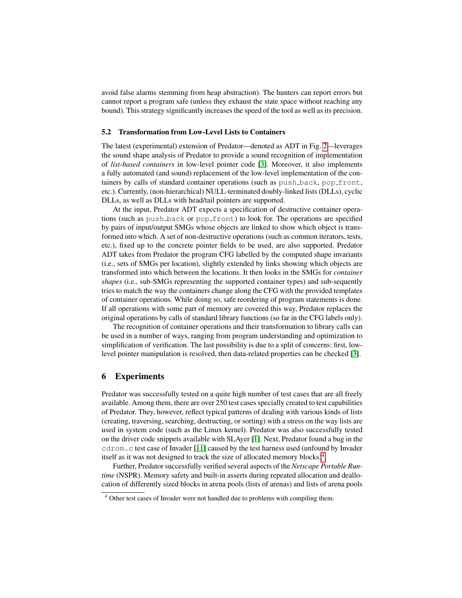avoid false alarms stemming from heap abstraction). The hunters can report errors but cannot report a program safe (unless they exhaust the state space without reaching any bound). This strategy significantly increases the speed of the tool as well as its precision.

#### 5.2 Transformation from Low-Level Lists to Containers

The latest (experimental) extension of Predator—denoted as ADT in Fig. [2—](#page-3-0)leverages the sound shape analysis of Predator to provide a sound recognition of implementation of *list-based containers* in low-level pointer code [\[3\]](#page-6-3). Moreover, it also implements a fully automated (and sound) replacement of the low-level implementation of the containers by calls of standard container operations (such as push back, pop front, etc.). Currently, (non-hierarchical) NULL-terminated doubly-linked lists (DLLs), cyclic DLLs, as well as DLLs with head/tail pointers are supported.

At the input, Predator ADT expects a specification of destructive container operations (such as push back or pop front) to look for. The operations are specified by pairs of input/output SMGs whose objects are linked to show which object is transformed into which. A set of non-destructive operations (such as common iterators, tests, etc.), fixed up to the concrete pointer fields to be used, are also supported. Predator ADT takes from Predator the program CFG labelled by the computed shape invariants (i.e., sets of SMGs per location), slightly extended by links showing which objects are transformed into which between the locations. It then looks in the SMGs for *container shapes* (i.e., sub-SMGs representing the supported container types) and sub-sequently tries to match the way the containers change along the CFG with the provided templates of container operations. While doing so, safe reordering of program statements is done. If all operations with some part of memory are covered this way, Predator replaces the original operations by calls of standard library functions (so far in the CFG labels only).

The recognition of container operations and their transformation to library calls can be used in a number of ways, ranging from program understanding and optimization to simplification of verification. The last possibility is due to a split of concerns: first, lowlevel pointer manipulation is resolved, then data-related properties can be checked [\[3\]](#page-6-3).

## 6 Experiments

Predator was successfully tested on a quite high number of test cases that are all freely available. Among them, there are over 250 test cases specially created to test capabilities of Predator. They, however, reflect typical patterns of dealing with various kinds of lists (creating, traversing, searching, destructing, or sorting) with a stress on the way lists are used in system code (such as the Linux kernel). Predator was also successfully tested on the driver code snippets available with SLAyer [\[1\]](#page-6-6). Next, Predator found a bug in the cdrom.c test case of Invader [\[11\]](#page-6-5) caused by the test harness used (unfound by Invader itself as it was not designed to track the size of allocated memory blocks $)^4$  $)^4$ .

Further, Predator successfully verified several aspects of the *Netscape Portable Runtime* (NSPR). Memory safety and built-in asserts during repeated allocation and deallocation of differently sized blocks in arena pools (lists of arenas) and lists of arena pools

<span id="page-5-0"></span><sup>4</sup> Other test cases of Invader were not handled due to problems with compiling them.